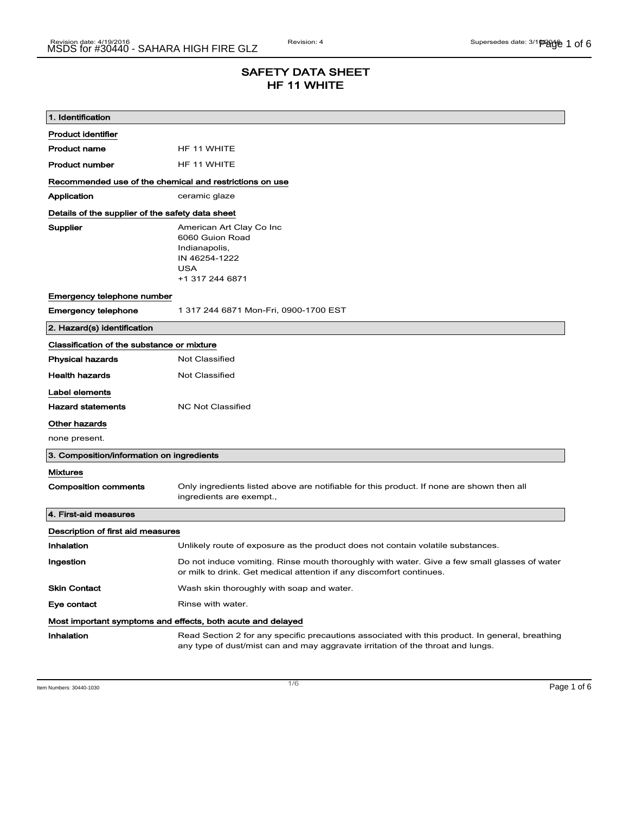## SAFETY DATA SHEET HF 11 WHITE

| 1. Identification                                                            |                                                                                                                                                                                    |  |
|------------------------------------------------------------------------------|------------------------------------------------------------------------------------------------------------------------------------------------------------------------------------|--|
| <b>Product identifier</b>                                                    |                                                                                                                                                                                    |  |
| <b>Product name</b>                                                          | HF 11 WHITE                                                                                                                                                                        |  |
| <b>Product number</b>                                                        | HF 11 WHITE                                                                                                                                                                        |  |
| Recommended use of the chemical and restrictions on use                      |                                                                                                                                                                                    |  |
| Application                                                                  | ceramic glaze                                                                                                                                                                      |  |
| Details of the supplier of the safety data sheet                             |                                                                                                                                                                                    |  |
| Supplier                                                                     | American Art Clay Co Inc<br>6060 Guion Road<br>Indianapolis,<br>IN 46254-1222<br><b>USA</b><br>+1 317 244 6871                                                                     |  |
| Emergency telephone number                                                   |                                                                                                                                                                                    |  |
| <b>Emergency telephone</b>                                                   | 1 317 244 6871 Mon-Fri, 0900-1700 EST                                                                                                                                              |  |
| 2. Hazard(s) identification                                                  |                                                                                                                                                                                    |  |
| Classification of the substance or mixture                                   |                                                                                                                                                                                    |  |
| <b>Physical hazards</b>                                                      | <b>Not Classified</b>                                                                                                                                                              |  |
| <b>Health hazards</b>                                                        | <b>Not Classified</b>                                                                                                                                                              |  |
| Label elements<br><b>Hazard statements</b><br>Other hazards<br>none present. | <b>NC Not Classified</b>                                                                                                                                                           |  |
| 3. Composition/information on ingredients                                    |                                                                                                                                                                                    |  |
| <b>Mixtures</b>                                                              |                                                                                                                                                                                    |  |
| <b>Composition comments</b>                                                  | Only ingredients listed above are notifiable for this product. If none are shown then all<br>ingredients are exempt.,                                                              |  |
| 4. First-aid measures                                                        |                                                                                                                                                                                    |  |
| Description of first aid measures                                            |                                                                                                                                                                                    |  |
| Inhalation                                                                   | Unlikely route of exposure as the product does not contain volatile substances.                                                                                                    |  |
| Ingestion                                                                    | Do not induce vomiting. Rinse mouth thoroughly with water. Give a few small glasses of water<br>or milk to drink. Get medical attention if any discomfort continues.               |  |
| <b>Skin Contact</b>                                                          | Wash skin thoroughly with soap and water.                                                                                                                                          |  |
| Eye contact                                                                  | Rinse with water.                                                                                                                                                                  |  |
| Most important symptoms and effects, both acute and delayed                  |                                                                                                                                                                                    |  |
| <b>Inhalation</b>                                                            | Read Section 2 for any specific precautions associated with this product. In general, breathing<br>any type of dust/mist can and may aggravate irritation of the throat and lungs. |  |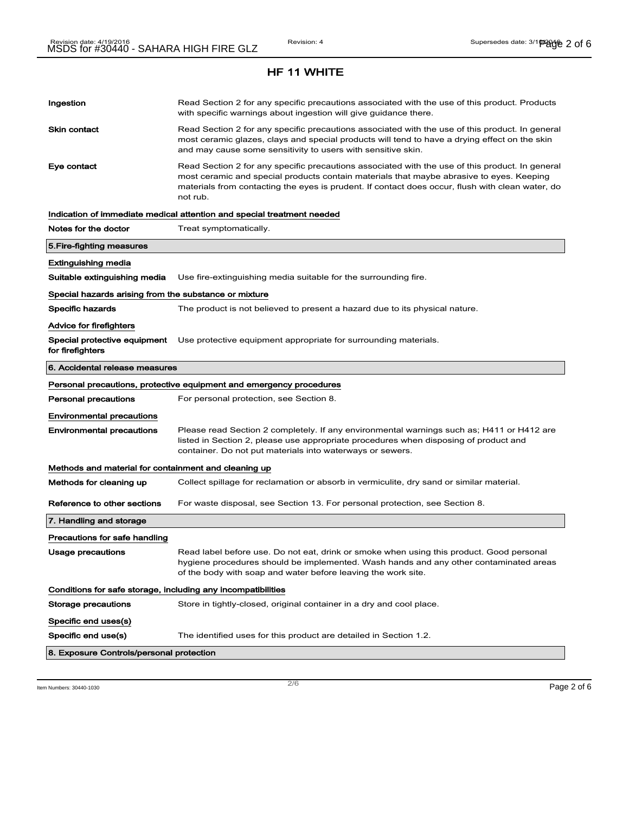# Ingestion **Read Section 2 for any specific precautions associated with the use of this product. Products** with specific warnings about ingestion will give guidance there. Skin contact **Read Section 2 for any specific precautions associated with the use of this product. In general** most ceramic glazes, clays and special products will tend to have a drying effect on the skin and may cause some sensitivity to users with sensitive skin. Eye contact **Read Section 2 for any specific precautions associated with the use of this product. In general** most ceramic and special products contain materials that maybe abrasive to eyes. Keeping materials from contacting the eyes is prudent. If contact does occur, flush with clean water, do not rub. Indication of immediate medical attention and special treatment needed Notes for the doctor Treat symptomatically. 5.Fire-fighting measures Extinguishing media Suitable extinguishing media Use fire-extinguishing media suitable for the surrounding fire. Special hazards arising from the substance or mixture Specific hazards The product is not believed to present a hazard due to its physical nature. Advice for firefighters Special protective equipment Use protective equipment appropriate for surrounding materials. for firefighters 6. Accidental release measures Personal precautions, protective equipment and emergency procedures Personal precautions For personal protection, see Section 8. Environmental precautions Environmental precautions Please read Section 2 completely. If any environmental warnings such as; H411 or H412 are listed in Section 2, please use appropriate procedures when disposing of product and container. Do not put materials into waterways or sewers. Methods and material for containment and cleaning up Methods for cleaning up Collect spillage for reclamation or absorb in vermiculite, dry sand or similar material. Reference to other sections For waste disposal, see Section 13. For personal protection, see Section 8. 7. Handling and storage Precautions for safe handling Usage precautions **Read label before use. Do not eat, drink or smoke when using this product. Good personal** hygiene procedures should be implemented. Wash hands and any other contaminated areas of the body with soap and water before leaving the work site. Conditions for safe storage, including any incompatibilities Storage precautions Store in tightly-closed, original container in a dry and cool place. Specific end uses(s) Specific end use(s) The identified uses for this product are detailed in Section 1.2. 8. Exposure Controls/personal protection

 $\overline{\phantom{a}}$ ltem Numbers: 30440-1030  $\overline{\phantom{a}}$ Page 2 of 6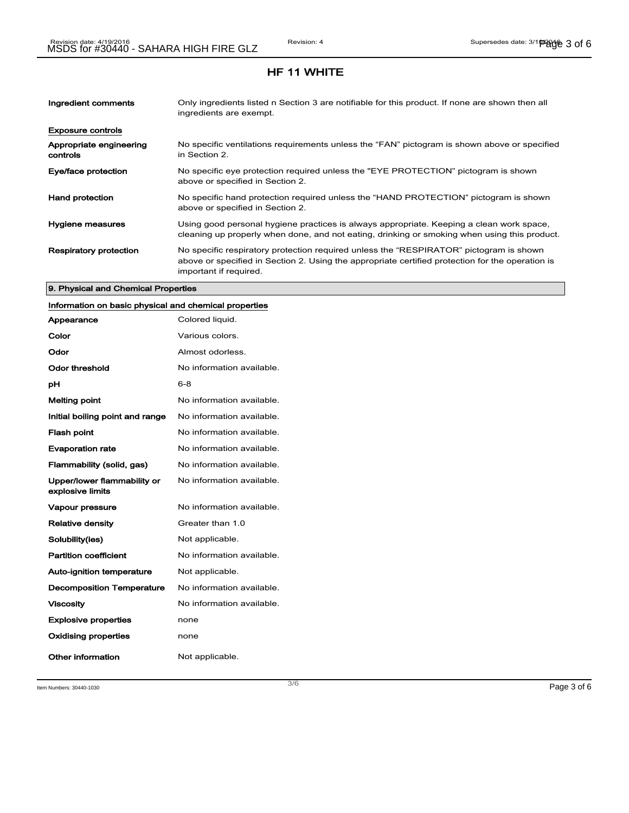| Ingredient comments                 | Only ingredients listed n Section 3 are notifiable for this product. If none are shown then all<br>ingredients are exempt.                                                                                           |
|-------------------------------------|----------------------------------------------------------------------------------------------------------------------------------------------------------------------------------------------------------------------|
| <b>Exposure controls</b>            |                                                                                                                                                                                                                      |
| Appropriate engineering<br>controls | No specific ventilations requirements unless the "FAN" pictogram is shown above or specified<br>in Section 2.                                                                                                        |
| Eye/face protection                 | No specific eye protection required unless the "EYE PROTECTION" pictogram is shown<br>above or specified in Section 2.                                                                                               |
| <b>Hand protection</b>              | No specific hand protection required unless the "HAND PROTECTION" pictogram is shown<br>above or specified in Section 2.                                                                                             |
| Hygiene measures                    | Using good personal hygiene practices is always appropriate. Keeping a clean work space,<br>cleaning up properly when done, and not eating, drinking or smoking when using this product.                             |
| <b>Respiratory protection</b>       | No specific respiratory protection required unless the "RESPIRATOR" pictogram is shown<br>above or specified in Section 2. Using the appropriate certified protection for the operation is<br>important if required. |

#### 9. Physical and Chemical Properties

## Information on basic physical and chemical properties

| Appearance                                      | Colored liquid.           |
|-------------------------------------------------|---------------------------|
| Color                                           | Various colors.           |
| Odor                                            | Almost odorless.          |
| Odor threshold                                  | No information available. |
| рH                                              | 6-8                       |
| <b>Melting point</b>                            | No information available. |
| Initial boiling point and range                 | No information available. |
| <b>Flash point</b>                              | No information available. |
| <b>Evaporation rate</b>                         | No information available. |
| Flammability (solid, gas)                       | No information available. |
| Upper/lower flammability or<br>explosive limits | No information available. |
| <b>Vapour pressure</b>                          | No information available. |
| <b>Relative density</b>                         | Greater than 1.0          |
| Solubility(ies)                                 | Not applicable.           |
| <b>Partition coefficient</b>                    | No information available. |
| <b>Auto-ignition temperature</b>                | Not applicable.           |
| <b>Decomposition Temperature</b>                | No information available. |
| <b>Viscosity</b>                                | No information available. |
| <b>Explosive properties</b>                     | none                      |
| <b>Oxidising properties</b>                     | none                      |
| Other information                               | Not applicable.           |

Item Numbers:  $30440-1030$   $Page 3 of 6$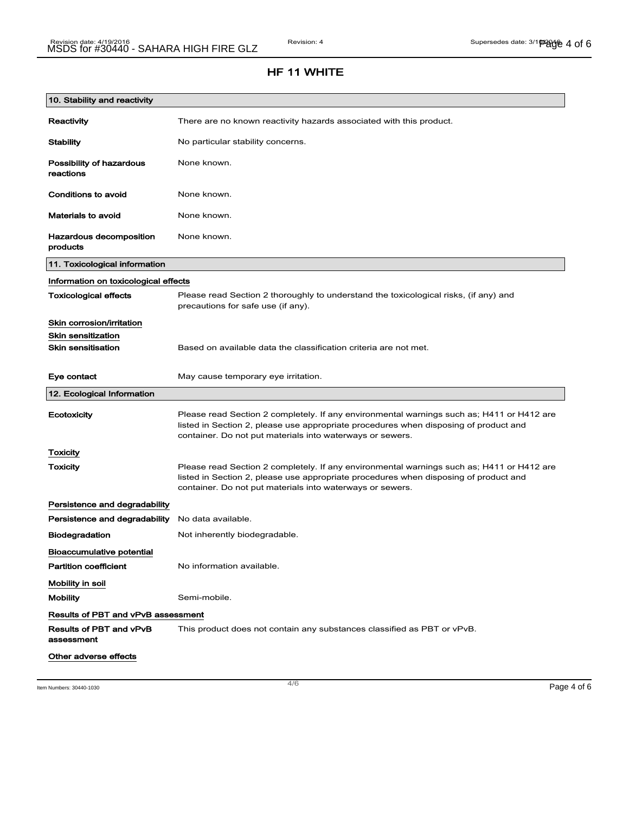| 10. Stability and reactivity          |                                                                                                                                                                                                                                                |
|---------------------------------------|------------------------------------------------------------------------------------------------------------------------------------------------------------------------------------------------------------------------------------------------|
| <b>Reactivity</b>                     | There are no known reactivity hazards associated with this product.                                                                                                                                                                            |
| <b>Stability</b>                      | No particular stability concerns.                                                                                                                                                                                                              |
| Possibility of hazardous<br>reactions | None known.                                                                                                                                                                                                                                    |
| <b>Conditions to avoid</b>            | None known.                                                                                                                                                                                                                                    |
| <b>Materials to avoid</b>             | None known.                                                                                                                                                                                                                                    |
| Hazardous decomposition<br>products   | None known.                                                                                                                                                                                                                                    |
| 11. Toxicological information         |                                                                                                                                                                                                                                                |
| Information on toxicological effects  |                                                                                                                                                                                                                                                |
| <b>Toxicological effects</b>          | Please read Section 2 thoroughly to understand the toxicological risks, (if any) and<br>precautions for safe use (if any).                                                                                                                     |
| Skin corrosion/irritation             |                                                                                                                                                                                                                                                |
| <b>Skin sensitization</b>             |                                                                                                                                                                                                                                                |
| <b>Skin sensitisation</b>             | Based on available data the classification criteria are not met.                                                                                                                                                                               |
| Eye contact                           | May cause temporary eye irritation.                                                                                                                                                                                                            |
| 12. Ecological Information            |                                                                                                                                                                                                                                                |
| Ecotoxicity                           | Please read Section 2 completely. If any environmental warnings such as; H411 or H412 are<br>listed in Section 2, please use appropriate procedures when disposing of product and<br>container. Do not put materials into waterways or sewers. |
| <b>Toxicity</b>                       |                                                                                                                                                                                                                                                |
| Toxicity                              | Please read Section 2 completely. If any environmental warnings such as; H411 or H412 are<br>listed in Section 2, please use appropriate procedures when disposing of product and<br>container. Do not put materials into waterways or sewers. |
| Persistence and degradability         |                                                                                                                                                                                                                                                |
| Persistence and degradability         | No data available.                                                                                                                                                                                                                             |
| <b>Biodegradation</b>                 | Not inherently biodegradable.                                                                                                                                                                                                                  |
| <b>Bioaccumulative potential</b>      |                                                                                                                                                                                                                                                |
| <b>Partition coefficient</b>          | No information available.                                                                                                                                                                                                                      |
| Mobility in soil                      |                                                                                                                                                                                                                                                |
| <b>Mobility</b>                       | Semi-mobile.                                                                                                                                                                                                                                   |
| Results of PBT and vPvB assessment    |                                                                                                                                                                                                                                                |
| Results of PBT and vPvB<br>assessment | This product does not contain any substances classified as PBT or vPvB.                                                                                                                                                                        |
| Other adverse effects                 |                                                                                                                                                                                                                                                |

Item Numbers:  $30440-1030$   $996-406$   $996-406$   $996-406$   $996-406$   $996-406$   $996-406$   $996-406$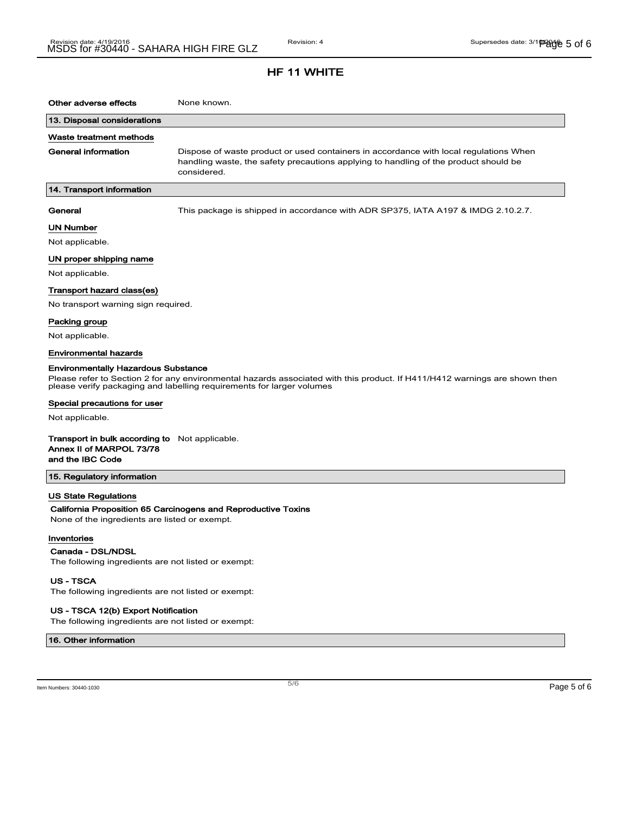| Other adverse effects                                                                                                                                                                                                                                                                                | None known.                                                                                                                                                                                  |  |
|------------------------------------------------------------------------------------------------------------------------------------------------------------------------------------------------------------------------------------------------------------------------------------------------------|----------------------------------------------------------------------------------------------------------------------------------------------------------------------------------------------|--|
| 13. Disposal considerations                                                                                                                                                                                                                                                                          |                                                                                                                                                                                              |  |
| Waste treatment methods                                                                                                                                                                                                                                                                              |                                                                                                                                                                                              |  |
| General information                                                                                                                                                                                                                                                                                  | Dispose of waste product or used containers in accordance with local regulations When<br>handling waste, the safety precautions applying to handling of the product should be<br>considered. |  |
| 14. Transport information                                                                                                                                                                                                                                                                            |                                                                                                                                                                                              |  |
| General                                                                                                                                                                                                                                                                                              | This package is shipped in accordance with ADR SP375, IATA A197 & IMDG 2.10.2.7.                                                                                                             |  |
| UN Number                                                                                                                                                                                                                                                                                            |                                                                                                                                                                                              |  |
| Not applicable.                                                                                                                                                                                                                                                                                      |                                                                                                                                                                                              |  |
| UN proper shipping name                                                                                                                                                                                                                                                                              |                                                                                                                                                                                              |  |
| Not applicable.                                                                                                                                                                                                                                                                                      |                                                                                                                                                                                              |  |
| Transport hazard class(es)                                                                                                                                                                                                                                                                           |                                                                                                                                                                                              |  |
| No transport warning sign required.                                                                                                                                                                                                                                                                  |                                                                                                                                                                                              |  |
| Packing group                                                                                                                                                                                                                                                                                        |                                                                                                                                                                                              |  |
| Not applicable.                                                                                                                                                                                                                                                                                      |                                                                                                                                                                                              |  |
| Environmental hazards                                                                                                                                                                                                                                                                                |                                                                                                                                                                                              |  |
| <b>Environmentally Hazardous Substance</b><br>Please refer to Section 2 for any environmental hazards associated with this product. If H411/H412 warnings are shown then<br>please verify packaging and labelling requirements for larger volumes<br>Special precautions for user<br>Not applicable. |                                                                                                                                                                                              |  |
| <b>Transport in bulk according to</b> Not applicable.<br>Annex II of MARPOL 73/78<br>and the IBC Code                                                                                                                                                                                                |                                                                                                                                                                                              |  |
| 15. Regulatory information                                                                                                                                                                                                                                                                           |                                                                                                                                                                                              |  |
| US State Regulations                                                                                                                                                                                                                                                                                 |                                                                                                                                                                                              |  |
| None of the ingredients are listed or exempt.                                                                                                                                                                                                                                                        | California Proposition 65 Carcinogens and Reproductive Toxins                                                                                                                                |  |
| Inventories                                                                                                                                                                                                                                                                                          |                                                                                                                                                                                              |  |
| Canada - DSL/NDSL<br>The following ingredients are not listed or exempt:                                                                                                                                                                                                                             |                                                                                                                                                                                              |  |
| <b>US - TSCA</b><br>The following ingredients are not listed or exempt:                                                                                                                                                                                                                              |                                                                                                                                                                                              |  |

#### US - TSCA 12(b) Export Notification

The following ingredients are not listed or exempt:

16. Other information